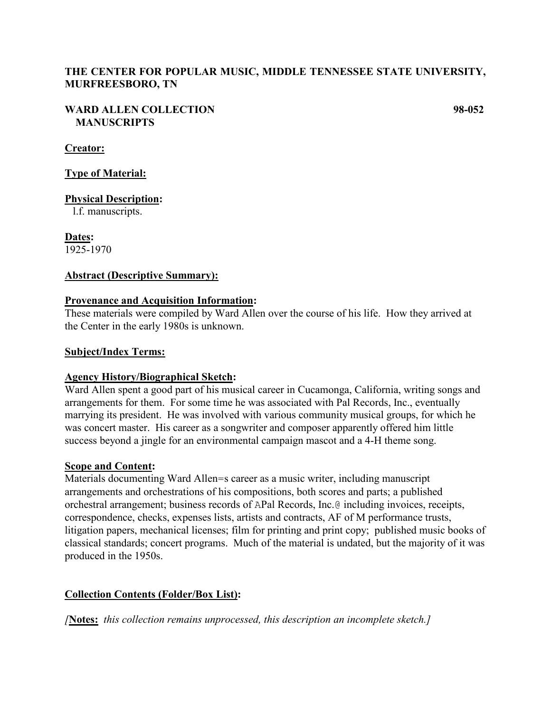# **THE CENTER FOR POPULAR MUSIC, MIDDLE TENNESSEE STATE UNIVERSITY, MURFREESBORO, TN**

### **WARD ALLEN COLLECTION 98-052 MANUSCRIPTS**

## **Creator:**

**Type of Material:**

**Physical Description:**

l.f. manuscripts.

**Dates:** 1925-1970

## **Abstract (Descriptive Summary):**

### **Provenance and Acquisition Information:**

These materials were compiled by Ward Allen over the course of his life. How they arrived at the Center in the early 1980s is unknown.

### **Subject/Index Terms:**

### **Agency History/Biographical Sketch:**

Ward Allen spent a good part of his musical career in Cucamonga, California, writing songs and arrangements for them. For some time he was associated with Pal Records, Inc., eventually marrying its president. He was involved with various community musical groups, for which he was concert master. His career as a songwriter and composer apparently offered him little success beyond a jingle for an environmental campaign mascot and a 4-H theme song.

### **Scope and Content:**

Materials documenting Ward Allen=s career as a music writer, including manuscript arrangements and orchestrations of his compositions, both scores and parts; a published orchestral arrangement; business records of APal Records, Inc.@ including invoices, receipts, correspondence, checks, expenses lists, artists and contracts, AF of M performance trusts, litigation papers, mechanical licenses; film for printing and print copy; published music books of classical standards; concert programs. Much of the material is undated, but the majority of it was produced in the 1950s.

# **Collection Contents (Folder/Box List):**

*[***Notes:** *this collection remains unprocessed, this description an incomplete sketch.]*